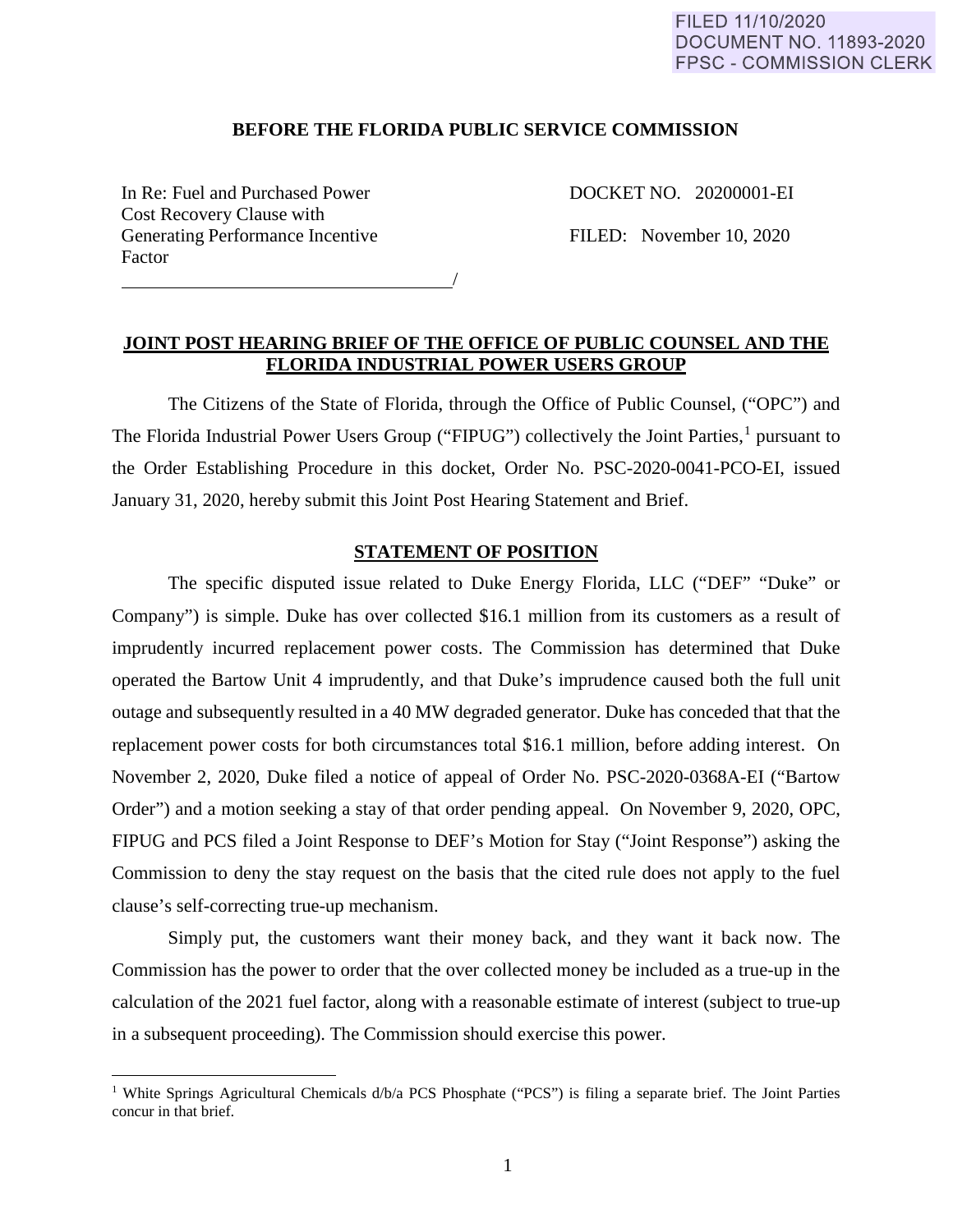## FILED 11/10/2020 **DOCUMENT NO. 11893-2020 FPSC - COMMISSION CLERK**

### **BEFORE THE FLORIDA PUBLIC SERVICE COMMISSION**

In Re: Fuel and Purchased Power DOCKET NO. 20200001-EI Cost Recovery Clause with Generating Performance Incentive FILED: November 10, 2020 Factor

 $\overline{a}$ 

/

# **JOINT POST HEARING BRIEF OF THE OFFICE OF PUBLIC COUNSEL AND THE FLORIDA INDUSTRIAL POWER USERS GROUP**

The Citizens of the State of Florida, through the Office of Public Counsel, ("OPC") and The Florida Industrial Power Users Group ("FIPUG") collectively the Joint Parties,<sup>[1](#page-0-0)</sup> pursuant to the Order Establishing Procedure in this docket, Order No. PSC-2020-0041-PCO-EI, issued January 31, 2020, hereby submit this Joint Post Hearing Statement and Brief.

# **STATEMENT OF POSITION**

The specific disputed issue related to Duke Energy Florida, LLC ("DEF" "Duke" or Company") is simple. Duke has over collected \$16.1 million from its customers as a result of imprudently incurred replacement power costs. The Commission has determined that Duke operated the Bartow Unit 4 imprudently, and that Duke's imprudence caused both the full unit outage and subsequently resulted in a 40 MW degraded generator. Duke has conceded that that the replacement power costs for both circumstances total \$16.1 million, before adding interest. On November 2, 2020, Duke filed a notice of appeal of Order No. PSC-2020-0368A-EI ("Bartow Order") and a motion seeking a stay of that order pending appeal. On November 9, 2020, OPC, FIPUG and PCS filed a Joint Response to DEF's Motion for Stay ("Joint Response") asking the Commission to deny the stay request on the basis that the cited rule does not apply to the fuel clause's self-correcting true-up mechanism.

Simply put, the customers want their money back, and they want it back now. The Commission has the power to order that the over collected money be included as a true-up in the calculation of the 2021 fuel factor, along with a reasonable estimate of interest (subject to true-up in a subsequent proceeding). The Commission should exercise this power.

<span id="page-0-0"></span><sup>&</sup>lt;sup>1</sup> White Springs Agricultural Chemicals d/b/a PCS Phosphate ("PCS") is filing a separate brief. The Joint Parties concur in that brief.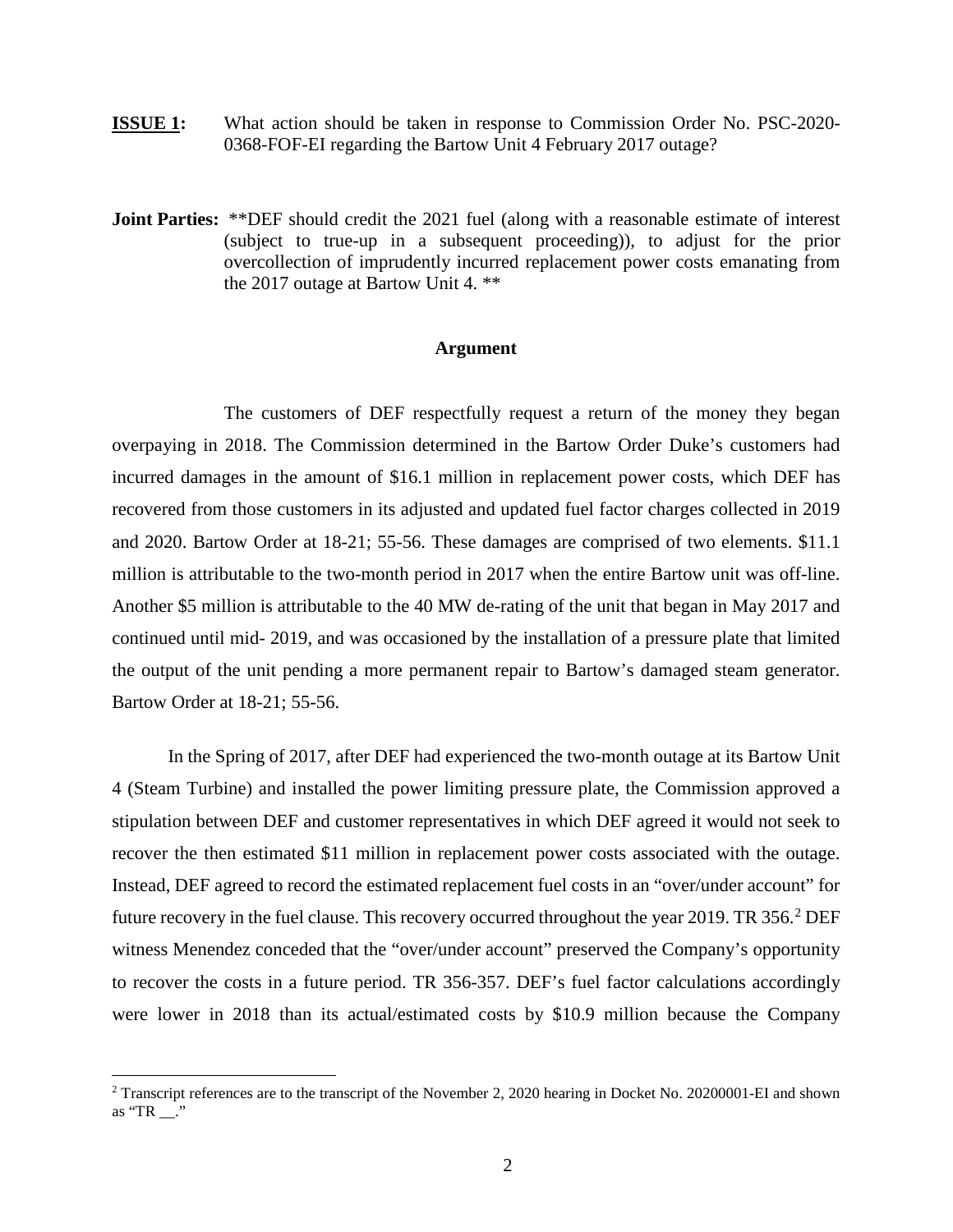- **ISSUE 1:** What action should be taken in response to Commission Order No. PSC-2020- 0368-FOF-EI regarding the Bartow Unit 4 February 2017 outage?
- **Joint Parties:** \*\*DEF should credit the 2021 fuel (along with a reasonable estimate of interest (subject to true-up in a subsequent proceeding)), to adjust for the prior overcollection of imprudently incurred replacement power costs emanating from the 2017 outage at Bartow Unit 4. \*\*

#### **Argument**

The customers of DEF respectfully request a return of the money they began overpaying in 2018. The Commission determined in the Bartow Order Duke's customers had incurred damages in the amount of \$16.1 million in replacement power costs, which DEF has recovered from those customers in its adjusted and updated fuel factor charges collected in 2019 and 2020. Bartow Order at 18-21; 55-56. These damages are comprised of two elements. \$11.1 million is attributable to the two-month period in 2017 when the entire Bartow unit was off-line. Another \$5 million is attributable to the 40 MW de-rating of the unit that began in May 2017 and continued until mid- 2019, and was occasioned by the installation of a pressure plate that limited the output of the unit pending a more permanent repair to Bartow's damaged steam generator. Bartow Order at 18-21; 55-56.

In the Spring of 2017, after DEF had experienced the two-month outage at its Bartow Unit 4 (Steam Turbine) and installed the power limiting pressure plate, the Commission approved a stipulation between DEF and customer representatives in which DEF agreed it would not seek to recover the then estimated \$11 million in replacement power costs associated with the outage. Instead, DEF agreed to record the estimated replacement fuel costs in an "over/under account" for future recovery in the fuel clause. This recovery occurred throughout the year [2](#page-1-0)019. TR  $356<sup>2</sup>$  DEF witness Menendez conceded that the "over/under account" preserved the Company's opportunity to recover the costs in a future period. TR 356-357. DEF's fuel factor calculations accordingly were lower in 2018 than its actual/estimated costs by \$10.9 million because the Company

 $\overline{a}$ 

<span id="page-1-0"></span><sup>&</sup>lt;sup>2</sup> Transcript references are to the transcript of the November 2, 2020 hearing in Docket No. 20200001-EI and shown as "TR \_\_."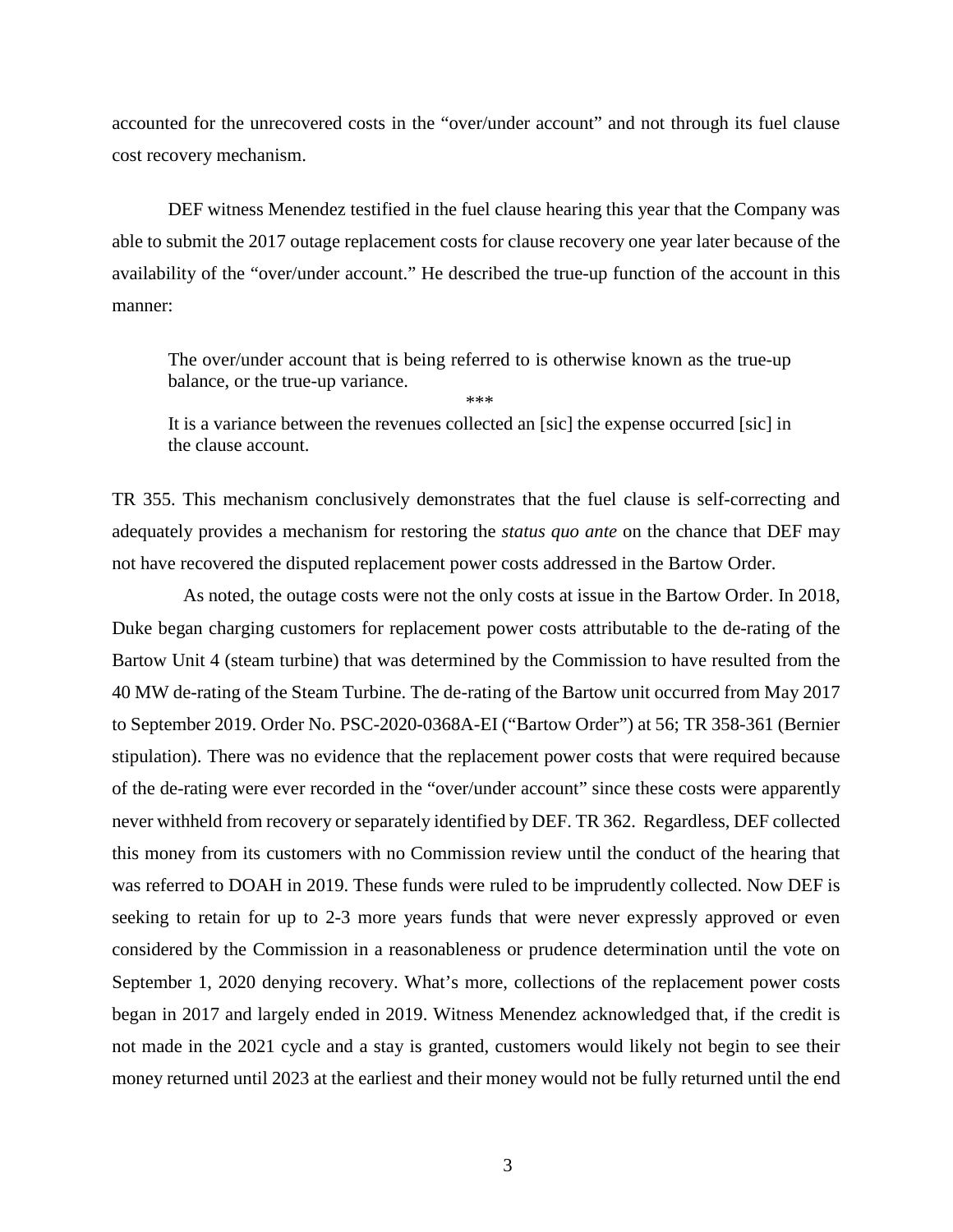accounted for the unrecovered costs in the "over/under account" and not through its fuel clause cost recovery mechanism.

DEF witness Menendez testified in the fuel clause hearing this year that the Company was able to submit the 2017 outage replacement costs for clause recovery one year later because of the availability of the "over/under account." He described the true-up function of the account in this manner:

The over/under account that is being referred to is otherwise known as the true-up balance, or the true-up variance.

\*\*\*

It is a variance between the revenues collected an [sic] the expense occurred [sic] in the clause account.

TR 355. This mechanism conclusively demonstrates that the fuel clause is self-correcting and adequately provides a mechanism for restoring the *status quo ante* on the chance that DEF may not have recovered the disputed replacement power costs addressed in the Bartow Order.

 As noted, the outage costs were not the only costs at issue in the Bartow Order. In 2018, Duke began charging customers for replacement power costs attributable to the de-rating of the Bartow Unit 4 (steam turbine) that was determined by the Commission to have resulted from the 40 MW de-rating of the Steam Turbine. The de-rating of the Bartow unit occurred from May 2017 to September 2019. Order No. PSC-2020-0368A-EI ("Bartow Order") at 56; TR 358-361 (Bernier stipulation). There was no evidence that the replacement power costs that were required because of the de-rating were ever recorded in the "over/under account" since these costs were apparently never withheld from recovery or separately identified by DEF. TR 362. Regardless, DEF collected this money from its customers with no Commission review until the conduct of the hearing that was referred to DOAH in 2019. These funds were ruled to be imprudently collected. Now DEF is seeking to retain for up to 2-3 more years funds that were never expressly approved or even considered by the Commission in a reasonableness or prudence determination until the vote on September 1, 2020 denying recovery. What's more, collections of the replacement power costs began in 2017 and largely ended in 2019. Witness Menendez acknowledged that, if the credit is not made in the 2021 cycle and a stay is granted, customers would likely not begin to see their money returned until 2023 at the earliest and their money would not be fully returned until the end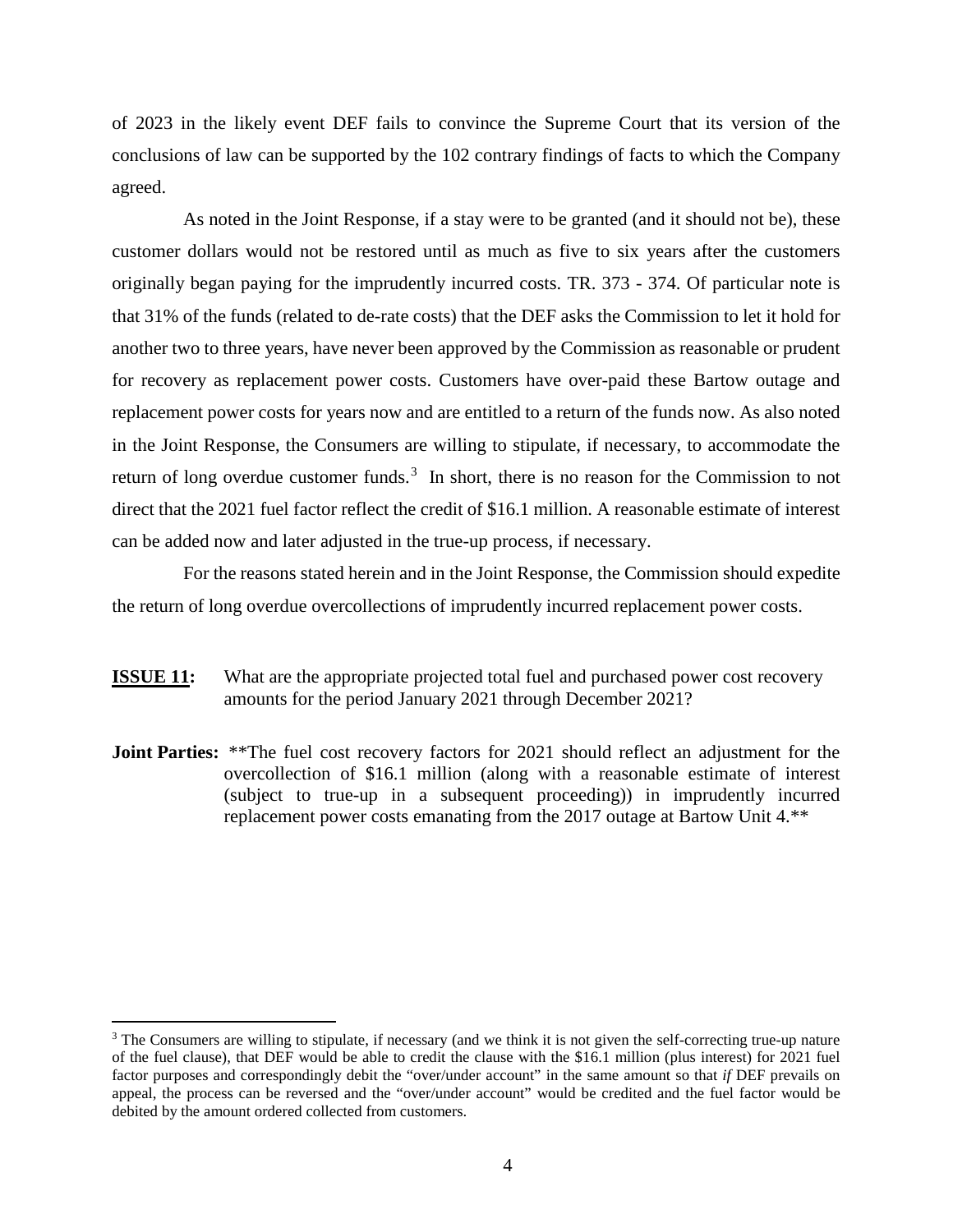of 2023 in the likely event DEF fails to convince the Supreme Court that its version of the conclusions of law can be supported by the 102 contrary findings of facts to which the Company agreed.

 As noted in the Joint Response, if a stay were to be granted (and it should not be), these customer dollars would not be restored until as much as five to six years after the customers originally began paying for the imprudently incurred costs. TR. 373 - 374. Of particular note is that 31% of the funds (related to de-rate costs) that the DEF asks the Commission to let it hold for another two to three years, have never been approved by the Commission as reasonable or prudent for recovery as replacement power costs. Customers have over-paid these Bartow outage and replacement power costs for years now and are entitled to a return of the funds now. As also noted in the Joint Response, the Consumers are willing to stipulate, if necessary, to accommodate the return of long overdue customer funds.<sup>[3](#page-3-0)</sup> In short, there is no reason for the Commission to not direct that the 2021 fuel factor reflect the credit of \$16.1 million. A reasonable estimate of interest can be added now and later adjusted in the true-up process, if necessary.

For the reasons stated herein and in the Joint Response, the Commission should expedite the return of long overdue overcollections of imprudently incurred replacement power costs.

- **ISSUE 11:** What are the appropriate projected total fuel and purchased power cost recovery amounts for the period January 2021 through December 2021?
- **Joint Parties:** \*\*The fuel cost recovery factors for 2021 should reflect an adjustment for the overcollection of \$16.1 million (along with a reasonable estimate of interest (subject to true-up in a subsequent proceeding)) in imprudently incurred replacement power costs emanating from the 2017 outage at Bartow Unit 4.\*\*

 $\overline{a}$ 

<span id="page-3-0"></span><sup>&</sup>lt;sup>3</sup> The Consumers are willing to stipulate, if necessary (and we think it is not given the self-correcting true-up nature of the fuel clause), that DEF would be able to credit the clause with the \$16.1 million (plus interest) for 2021 fuel factor purposes and correspondingly debit the "over/under account" in the same amount so that *if* DEF prevails on appeal, the process can be reversed and the "over/under account" would be credited and the fuel factor would be debited by the amount ordered collected from customers.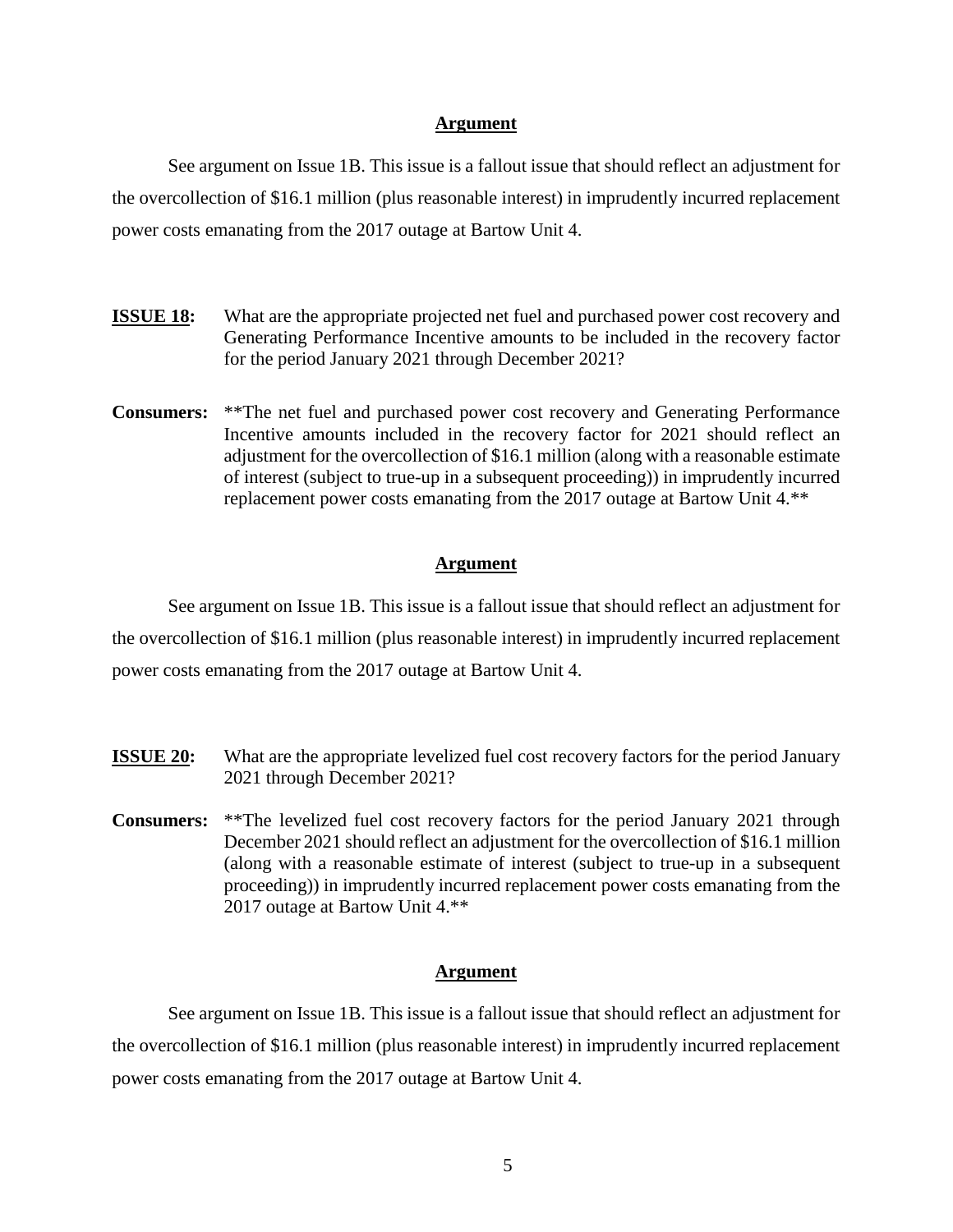### **Argument**

See argument on Issue 1B. This issue is a fallout issue that should reflect an adjustment for the overcollection of \$16.1 million (plus reasonable interest) in imprudently incurred replacement power costs emanating from the 2017 outage at Bartow Unit 4.

- **ISSUE 18:** What are the appropriate projected net fuel and purchased power cost recovery and Generating Performance Incentive amounts to be included in the recovery factor for the period January 2021 through December 2021?
- **Consumers:** \*\*The net fuel and purchased power cost recovery and Generating Performance Incentive amounts included in the recovery factor for 2021 should reflect an adjustment for the overcollection of \$16.1 million (along with a reasonable estimate of interest (subject to true-up in a subsequent proceeding)) in imprudently incurred replacement power costs emanating from the 2017 outage at Bartow Unit 4.\*\*

### **Argument**

See argument on Issue 1B. This issue is a fallout issue that should reflect an adjustment for the overcollection of \$16.1 million (plus reasonable interest) in imprudently incurred replacement power costs emanating from the 2017 outage at Bartow Unit 4.

- **ISSUE 20:** What are the appropriate levelized fuel cost recovery factors for the period January 2021 through December 2021?
- **Consumers:** \*\*The levelized fuel cost recovery factors for the period January 2021 through December 2021 should reflect an adjustment for the overcollection of \$16.1 million (along with a reasonable estimate of interest (subject to true-up in a subsequent proceeding)) in imprudently incurred replacement power costs emanating from the 2017 outage at Bartow Unit 4.\*\*

### **Argument**

See argument on Issue 1B. This issue is a fallout issue that should reflect an adjustment for the overcollection of \$16.1 million (plus reasonable interest) in imprudently incurred replacement power costs emanating from the 2017 outage at Bartow Unit 4.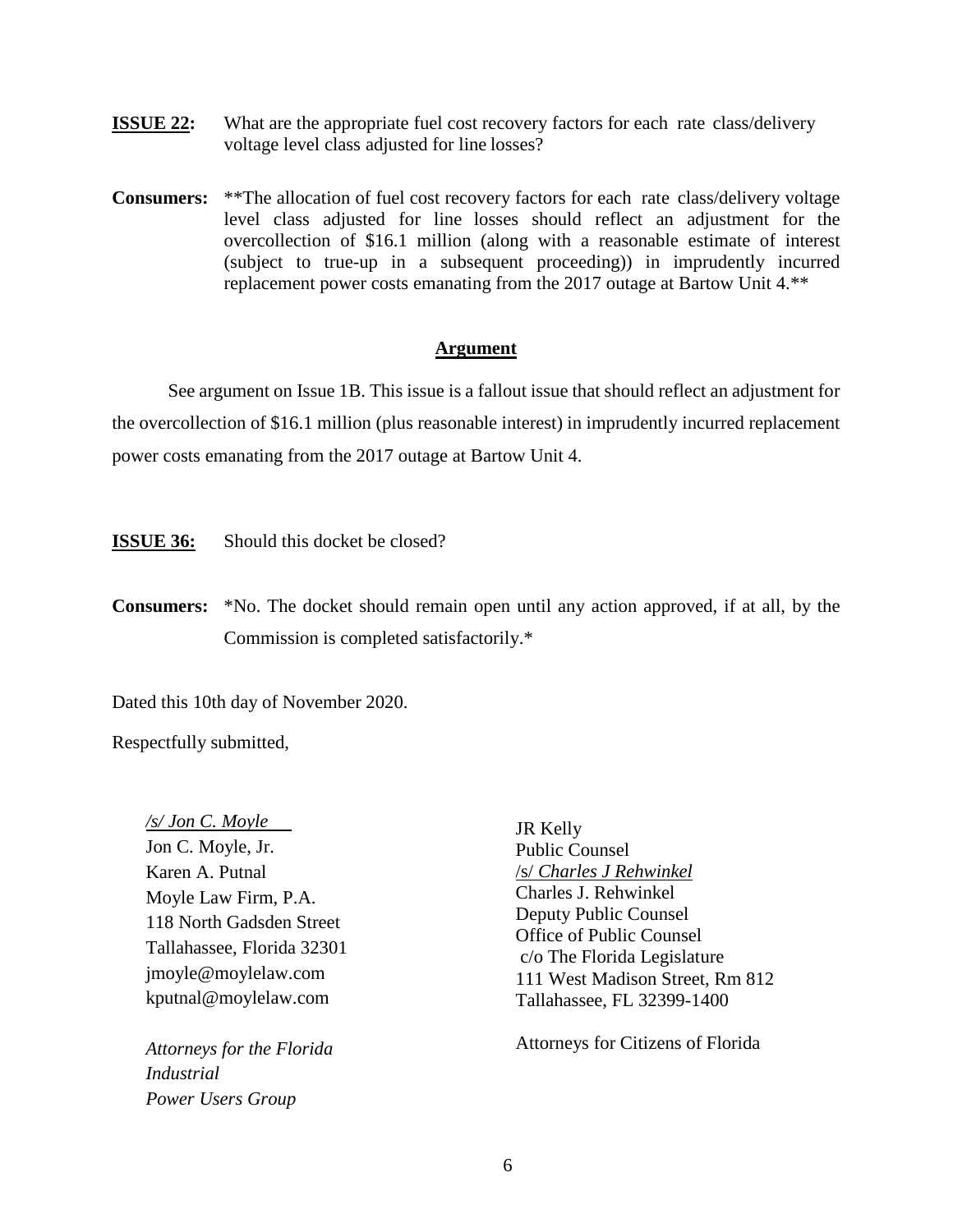- **ISSUE 22:** What are the appropriate fuel cost recovery factors for each rate class/delivery voltage level class adjusted for line losses?
- **Consumers:** \*\*The allocation of fuel cost recovery factors for each rate class/delivery voltage level class adjusted for line losses should reflect an adjustment for the overcollection of \$16.1 million (along with a reasonable estimate of interest (subject to true-up in a subsequent proceeding)) in imprudently incurred replacement power costs emanating from the 2017 outage at Bartow Unit 4.\*\*

# **Argument**

See argument on Issue 1B. This issue is a fallout issue that should reflect an adjustment for the overcollection of \$16.1 million (plus reasonable interest) in imprudently incurred replacement power costs emanating from the 2017 outage at Bartow Unit 4.

**ISSUE 36:** Should this docket be closed?

**Consumers:** \*No. The docket should remain open until any action approved, if at all, by the Commission is completed satisfactorily.\*

Dated this 10th day of November 2020.

Respectfully submitted,

*/s/ Jon C. Moyle*  Jon C. Moyle, Jr. Karen A. Putnal Moyle Law Firm, P.A. 118 North Gadsden Street Tallahassee, Florida 32301 [jmoyle@moylelaw.com](mailto:jmoyle@moylelaw.com) [kputnal@moylelaw.com](mailto:kputnal@moylelaw.com)

*Attorneys for the Florida Industrial Power Users Group*

JR Kelly Public Counsel /s/ *Charles J Rehwinkel* Charles J. Rehwinkel Deputy Public Counsel Office of Public Counsel c/o The Florida Legislature 111 West Madison Street, Rm 812 Tallahassee, FL 32399-1400

Attorneys for Citizens of Florida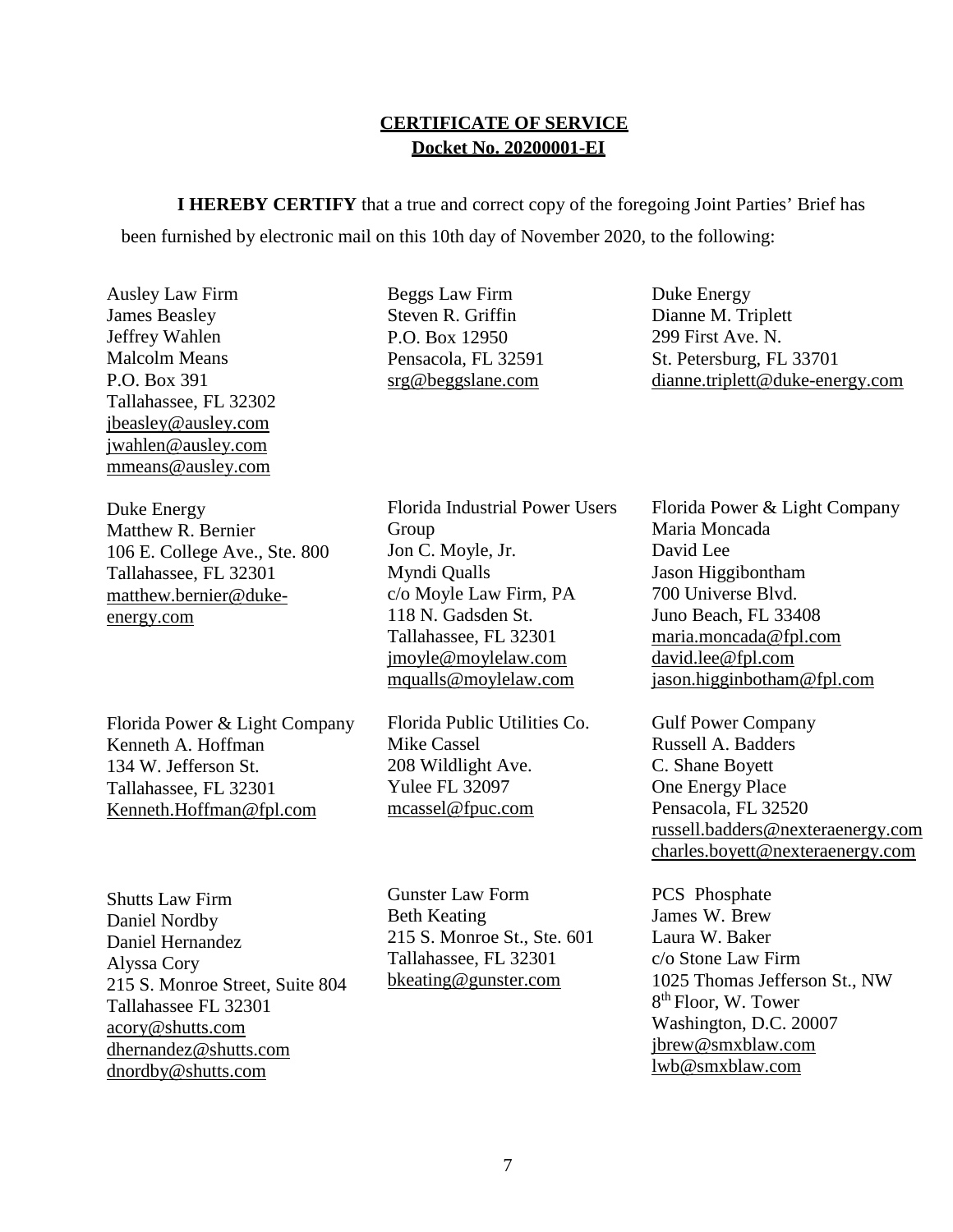# **CERTIFICATE OF SERVICE Docket No. 20200001-EI**

**I HEREBY CERTIFY** that a true and correct copy of the foregoing Joint Parties' Brief has been furnished by electronic mail on this 10th day of November 2020, to the following:

Ausley Law Firm James Beasley Jeffrey Wahlen Malcolm Means P.O. Box 391 Tallahassee, FL 32302 [jbeasley@ausley.com](mailto:jbeasley@ausley.com)  [jwahlen@ausley.com](mailto:jwahlen@ausley.com)  [mmeans@ausley.com](mailto:mmeans@ausley.com)

Duke Energy Matthew R. Bernier 106 E. College Ave., Ste. 800 Tallahassee, FL 32301 matthew.bernier@dukeenergy.com

Florida Power & Light Company Kenneth A. Hoffman 134 W. Jefferson St. Tallahassee, FL 32301 [Kenneth.Hoffman@fpl.com](mailto:ken.hoffman@fpl.com)

Shutts Law Firm Daniel Nordby Daniel Hernandez Alyssa Cory 215 S. Monroe Street, Suite 804 Tallahassee FL 32301 acory@shutts.com dhernandez@shutts.com dnordby@shutts.com

Beggs Law Firm Steven R. Griffin P.O. Box 12950 Pensacola, FL 32591 [srg@beggslane.com](mailto:srg@beggslane.com)

Florida Industrial Power Users Group Jon C. Moyle, Jr. Myndi Qualls c/o Moyle Law Firm, PA 118 N. Gadsden St. Tallahassee, FL 32301 [jmoyle@moylelaw.com](mailto:jmoyle@moylelaw.com) [mqualls@moylelaw.com](mailto:mqualls@moylelaw.com)

Florida Public Utilities Co. Mike Cassel 208 Wildlight Ave. Yulee FL 32097 [mcassel@fpuc.com](mailto:mcassel@fpuc.com)

Gunster Law Form Beth Keating 215 S. Monroe St., Ste. 601 Tallahassee, FL 32301 [bkeating@gunster.com](mailto:bkeating@gunster.com)

Duke Energy Dianne M. Triplett 299 First Ave. N. St. Petersburg, FL 33701 [dianne.triplett@duke-energy.com](mailto:dianne.triplett@duke-energy.com)

Florida Power & Light Company Maria Moncada David Lee Jason Higgibontham 700 Universe Blvd. Juno Beach, FL 33408 [maria.moncada@fpl.com](mailto:maria.moncada@fpl.com) [david.lee@fpl.com](mailto:david.lee@fpl.com) jason.higginbotham@fpl.com

Gulf Power Company Russell A. Badders C. Shane Boyett One Energy Place Pensacola, FL 32520 [russell.badders@nexteraenergy.com](mailto:russell.badders@nexteraenergy.com) [charles.boyett@nexteraenergy.com](mailto:charles.boyett@nexteraenergy.com)

PCS Phosphate James W. Brew Laura W. Baker c/o Stone Law Firm 1025 Thomas Jefferson St., NW 8th Floor, W. Tower Washington, D.C. 20007 [jbrew@smxblaw.com](mailto:jbrew@smxblaw.com) [lwb@smxblaw.com](mailto:lwb@smxblaw.com)